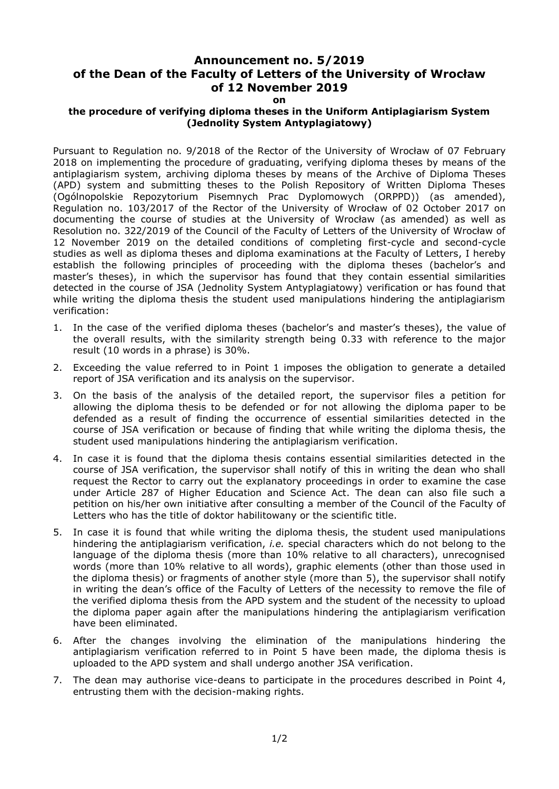## **Announcement no. 5/2019 of the Dean of the Faculty of Letters of the University of Wrocław of 12 November 2019**

## **on**

## **the procedure of verifying diploma theses in the Uniform Antiplagiarism System (Jednolity System Antyplagiatowy)**

Pursuant to Regulation no. 9/2018 of the Rector of the University of Wrocław of 07 February 2018 on implementing the procedure of graduating, verifying diploma theses by means of the antiplagiarism system, archiving diploma theses by means of the Archive of Diploma Theses (APD) system and submitting theses to the Polish Repository of Written Diploma Theses (Ogólnopolskie Repozytorium Pisemnych Prac Dyplomowych (ORPPD)) (as amended), Regulation no. 103/2017 of the Rector of the University of Wrocław of 02 October 2017 on documenting the course of studies at the University of Wrocław (as amended) as well as Resolution no. 322/2019 of the Council of the Faculty of Letters of the University of Wrocław of 12 November 2019 on the detailed conditions of completing first-cycle and second-cycle studies as well as diploma theses and diploma examinations at the Faculty of Letters, I hereby establish the following principles of proceeding with the diploma theses (bachelor's and master's theses), in which the supervisor has found that they contain essential similarities detected in the course of JSA (Jednolity System Antyplagiatowy) verification or has found that while writing the diploma thesis the student used manipulations hindering the antiplagiarism verification:

- 1. In the case of the verified diploma theses (bachelor's and master's theses), the value of the overall results, with the similarity strength being 0.33 with reference to the major result (10 words in a phrase) is 30%.
- 2. Exceeding the value referred to in Point 1 imposes the obligation to generate a detailed report of JSA verification and its analysis on the supervisor.
- 3. On the basis of the analysis of the detailed report, the supervisor files a petition for allowing the diploma thesis to be defended or for not allowing the diploma paper to be defended as a result of finding the occurrence of essential similarities detected in the course of JSA verification or because of finding that while writing the diploma thesis, the student used manipulations hindering the antiplagiarism verification.
- 4. In case it is found that the diploma thesis contains essential similarities detected in the course of JSA verification, the supervisor shall notify of this in writing the dean who shall request the Rector to carry out the explanatory proceedings in order to examine the case under Article 287 of Higher Education and Science Act. The dean can also file such a petition on his/her own initiative after consulting a member of the Council of the Faculty of Letters who has the title of doktor habilitowany or the scientific title.
- 5. In case it is found that while writing the diploma thesis, the student used manipulations hindering the antiplagiarism verification, *i.e.* special characters which do not belong to the language of the diploma thesis (more than 10% relative to all characters), unrecognised words (more than 10% relative to all words), graphic elements (other than those used in the diploma thesis) or fragments of another style (more than 5), the supervisor shall notify in writing the dean's office of the Faculty of Letters of the necessity to remove the file of the verified diploma thesis from the APD system and the student of the necessity to upload the diploma paper again after the manipulations hindering the antiplagiarism verification have been eliminated.
- 6. After the changes involving the elimination of the manipulations hindering the antiplagiarism verification referred to in Point 5 have been made, the diploma thesis is uploaded to the APD system and shall undergo another JSA verification.
- 7. The dean may authorise vice-deans to participate in the procedures described in Point 4, entrusting them with the decision-making rights.